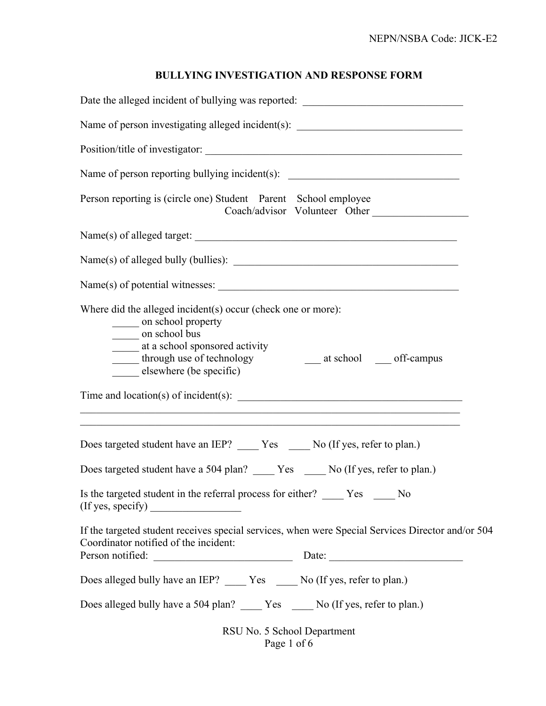# **BULLYING INVESTIGATION AND RESPONSE FORM**

| Date the alleged incident of bullying was reported: _____________________________                                                                                                                                                             |
|-----------------------------------------------------------------------------------------------------------------------------------------------------------------------------------------------------------------------------------------------|
| Name of person investigating alleged incident(s): ______________________________                                                                                                                                                              |
|                                                                                                                                                                                                                                               |
| Name of person reporting bullying incident(s): _________________________________                                                                                                                                                              |
| Person reporting is (circle one) Student Parent School employee<br>Coach/advisor Volunteer Other                                                                                                                                              |
|                                                                                                                                                                                                                                               |
|                                                                                                                                                                                                                                               |
|                                                                                                                                                                                                                                               |
| Where did the alleged incident(s) occur (check one or more):<br>on school property<br>on school bus<br>_____ at a school sponsored activity<br>elsewhere (be specific)                                                                        |
|                                                                                                                                                                                                                                               |
| Does targeted student have an IEP? _____ Yes _____ No (If yes, refer to plan.)                                                                                                                                                                |
| Does targeted student have a 504 plan? _____ Yes _____ No (If yes, refer to plan.)                                                                                                                                                            |
| Is the targeted student in the referral process for either? ______ Yes ______ No                                                                                                                                                              |
| If the targeted student receives special services, when were Special Services Director and/or 504<br>Coordinator notified of the incident:<br>Person notified:<br>$\begin{array}{c c c c} \hline \textbf{Date:} & \textbf{Date:} \end{array}$ |
| Does alleged bully have an IEP? _____ Yes _____ No (If yes, refer to plan.)                                                                                                                                                                   |
| Does alleged bully have a 504 plan? ______ Yes ______ No (If yes, refer to plan.)                                                                                                                                                             |
| RSU No. 5 School Department<br>Page 1 of 6                                                                                                                                                                                                    |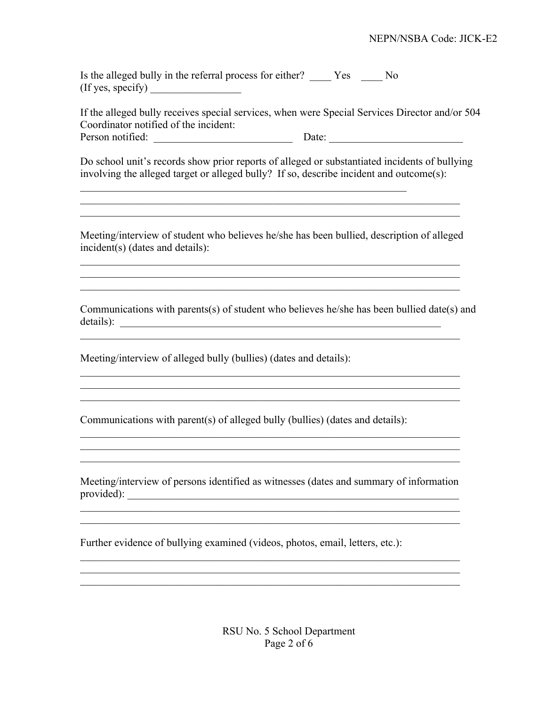Is the alleged bully in the referral process for either? Yes No (If yes, specify) \_\_\_\_\_\_\_\_\_\_\_\_\_\_\_\_\_

If the alleged bully receives special services, when were Special Services Director and/or 504 Coordinator notified of the incident: Person notified: \_\_\_\_\_\_\_\_\_\_\_\_\_\_\_\_\_\_\_\_\_\_\_\_\_\_ Date: \_\_\_\_\_\_\_\_\_\_\_\_\_\_\_\_\_\_\_\_\_\_\_\_\_

Do school unit's records show prior reports of alleged or substantiated incidents of bullying involving the alleged target or alleged bully? If so, describe incident and outcome(s):

 $\overline{\phantom{a}}$  , and the contribution of the contribution of the contribution of the contribution of the contribution of the contribution of the contribution of the contribution of the contribution of the contribution of the  $\mathcal{L}_\text{max} = \mathcal{L}_\text{max} = \mathcal{L}_\text{max} = \mathcal{L}_\text{max} = \mathcal{L}_\text{max} = \mathcal{L}_\text{max} = \mathcal{L}_\text{max} = \mathcal{L}_\text{max} = \mathcal{L}_\text{max} = \mathcal{L}_\text{max} = \mathcal{L}_\text{max} = \mathcal{L}_\text{max} = \mathcal{L}_\text{max} = \mathcal{L}_\text{max} = \mathcal{L}_\text{max} = \mathcal{L}_\text{max} = \mathcal{L}_\text{max} = \mathcal{L}_\text{max} = \mathcal{$ 

Meeting/interview of student who believes he/she has been bullied, description of alleged incident(s) (dates and details):

Communications with parents(s) of student who believes he/she has been bullied date(s) and details): \_\_\_\_\_\_\_\_\_\_\_\_\_\_\_\_\_\_\_\_\_\_\_\_\_\_\_\_\_\_\_\_\_\_\_\_\_\_\_\_\_\_\_\_\_\_\_\_\_\_\_\_\_\_\_\_\_\_\_\_

 $\mathcal{L}_\text{max} = \mathcal{L}_\text{max} = \mathcal{L}_\text{max} = \mathcal{L}_\text{max} = \mathcal{L}_\text{max} = \mathcal{L}_\text{max} = \mathcal{L}_\text{max} = \mathcal{L}_\text{max} = \mathcal{L}_\text{max} = \mathcal{L}_\text{max} = \mathcal{L}_\text{max} = \mathcal{L}_\text{max} = \mathcal{L}_\text{max} = \mathcal{L}_\text{max} = \mathcal{L}_\text{max} = \mathcal{L}_\text{max} = \mathcal{L}_\text{max} = \mathcal{L}_\text{max} = \mathcal{$ 

Meeting/interview of alleged bully (bullies) (dates and details):

Communications with parent(s) of alleged bully (bullies) (dates and details):

Meeting/interview of persons identified as witnesses (dates and summary of information  $provided):$ 

 $\mathcal{L}_\text{max} = \mathcal{L}_\text{max} = \mathcal{L}_\text{max} = \mathcal{L}_\text{max} = \mathcal{L}_\text{max} = \mathcal{L}_\text{max} = \mathcal{L}_\text{max} = \mathcal{L}_\text{max} = \mathcal{L}_\text{max} = \mathcal{L}_\text{max} = \mathcal{L}_\text{max} = \mathcal{L}_\text{max} = \mathcal{L}_\text{max} = \mathcal{L}_\text{max} = \mathcal{L}_\text{max} = \mathcal{L}_\text{max} = \mathcal{L}_\text{max} = \mathcal{L}_\text{max} = \mathcal{$ 

 $\mathcal{L}_\text{max} = \mathcal{L}_\text{max} = \mathcal{L}_\text{max} = \mathcal{L}_\text{max} = \mathcal{L}_\text{max} = \mathcal{L}_\text{max} = \mathcal{L}_\text{max} = \mathcal{L}_\text{max} = \mathcal{L}_\text{max} = \mathcal{L}_\text{max} = \mathcal{L}_\text{max} = \mathcal{L}_\text{max} = \mathcal{L}_\text{max} = \mathcal{L}_\text{max} = \mathcal{L}_\text{max} = \mathcal{L}_\text{max} = \mathcal{L}_\text{max} = \mathcal{L}_\text{max} = \mathcal{$ 

 $\mathcal{L}_\text{max} = \mathcal{L}_\text{max} = \mathcal{L}_\text{max} = \mathcal{L}_\text{max} = \mathcal{L}_\text{max} = \mathcal{L}_\text{max} = \mathcal{L}_\text{max} = \mathcal{L}_\text{max} = \mathcal{L}_\text{max} = \mathcal{L}_\text{max} = \mathcal{L}_\text{max} = \mathcal{L}_\text{max} = \mathcal{L}_\text{max} = \mathcal{L}_\text{max} = \mathcal{L}_\text{max} = \mathcal{L}_\text{max} = \mathcal{L}_\text{max} = \mathcal{L}_\text{max} = \mathcal{$ 

Further evidence of bullying examined (videos, photos, email, letters, etc.):

RSU No. 5 School Department Page 2 of 6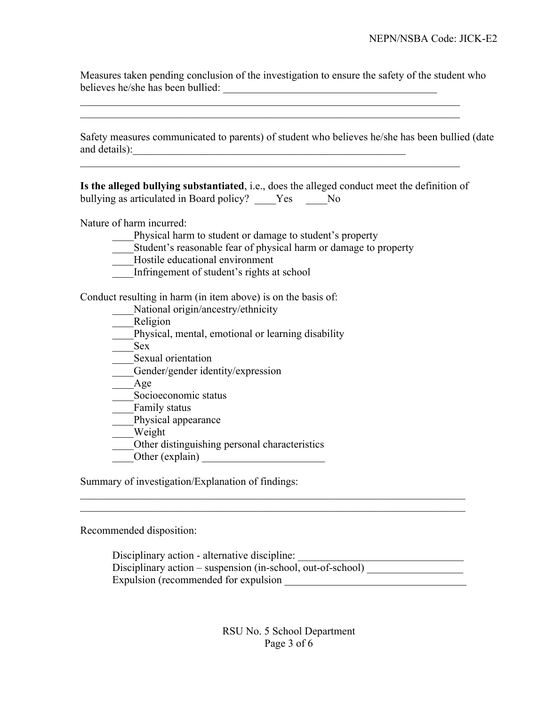Measures taken pending conclusion of the investigation to ensure the safety of the student who believes he/she has been bullied: \_\_\_\_\_\_\_\_\_\_\_\_\_\_\_\_\_\_\_\_\_\_\_\_\_\_\_\_\_\_\_\_\_\_\_\_\_\_\_\_

Safety measures communicated to parents) of student who believes he/she has been bullied (date and details):

**Is the alleged bullying substantiated**, i.e., does the alleged conduct meet the definition of bullying as articulated in Board policy? \_\_\_\_\_Yes \_\_\_\_\_No

Nature of harm incurred:

- \_\_\_\_Physical harm to student or damage to student's property
- \_\_\_\_Student's reasonable fear of physical harm or damage to property
- \_\_\_\_Hostile educational environment
- \_\_\_\_Infringement of student's rights at school

Conduct resulting in harm (in item above) is on the basis of:

- National origin/ancestry/ethnicity
- Religion
- Physical, mental, emotional or learning disability
- \_\_\_\_Sex
- Sexual orientation
- Gender/gender identity/expression
- \_\_\_\_Age
- Socioeconomic status
- \_\_\_\_Family status
- \_\_\_\_Physical appearance
- \_\_\_\_Weight
- \_\_\_\_Other distinguishing personal characteristics
- Other (explain)

Summary of investigation/Explanation of findings:

#### Recommended disposition:

Disciplinary action - alternative discipline: Disciplinary action – suspension (in-school, out-of-school) Expulsion (recommended for expulsion \_\_\_\_\_\_\_\_\_\_\_\_\_\_\_\_\_\_\_\_\_\_\_\_\_\_\_\_\_\_\_\_\_\_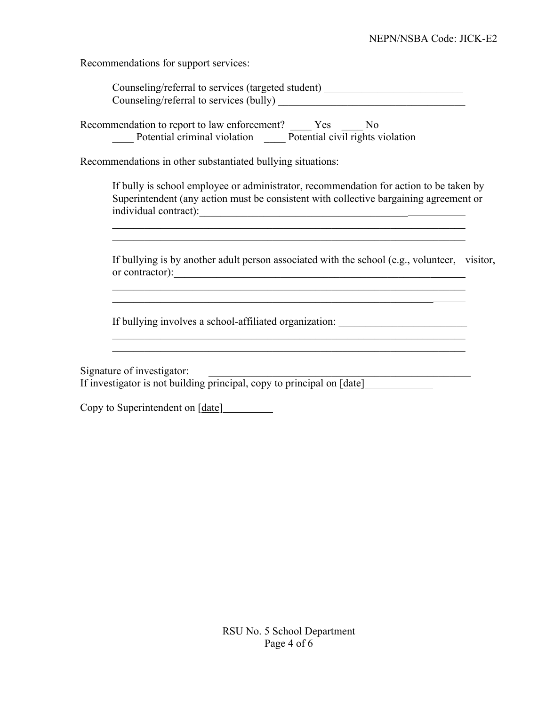Recommendations for support services:

| Counseling/referral to services (targeted student) |  |
|----------------------------------------------------|--|
| Counseling/referral to services (bully)            |  |

Recommendation to report to law enforcement? \_\_\_\_\_ Yes \_\_\_\_\_ No Potential criminal violation Potential civil rights violation

Recommendations in other substantiated bullying situations:

If bully is school employee or administrator, recommendation for action to be taken by Superintendent (any action must be consistent with collective bargaining agreement or individual contract):\_\_\_\_\_\_\_\_\_\_\_\_\_\_\_\_\_\_\_\_\_\_\_\_\_\_\_\_\_\_\_\_\_\_\_\_\_\_\_

 $\overline{\phantom{a}}$  , and the contribution of the contribution of the contribution of the contribution of the contribution of the contribution of the contribution of the contribution of the contribution of the contribution of the

If bullying is by another adult person associated with the school (e.g., volunteer, visitor, or contractor):  $\frac{1}{\sqrt{2}}$ 

 $\mathcal{L}_\mathcal{L} = \mathcal{L}_\mathcal{L} = \mathcal{L}_\mathcal{L} = \mathcal{L}_\mathcal{L} = \mathcal{L}_\mathcal{L} = \mathcal{L}_\mathcal{L} = \mathcal{L}_\mathcal{L} = \mathcal{L}_\mathcal{L} = \mathcal{L}_\mathcal{L} = \mathcal{L}_\mathcal{L} = \mathcal{L}_\mathcal{L} = \mathcal{L}_\mathcal{L} = \mathcal{L}_\mathcal{L} = \mathcal{L}_\mathcal{L} = \mathcal{L}_\mathcal{L} = \mathcal{L}_\mathcal{L} = \mathcal{L}_\mathcal{L}$ 

If bullying involves a school-affiliated organization: \_\_\_\_\_\_\_\_\_\_\_\_\_\_\_\_\_\_\_\_\_\_\_\_\_

Signature of investigator: If investigator is not building principal, copy to principal on [date]

Copy to Superintendent on [date]

RSU No. 5 School Department Page 4 of 6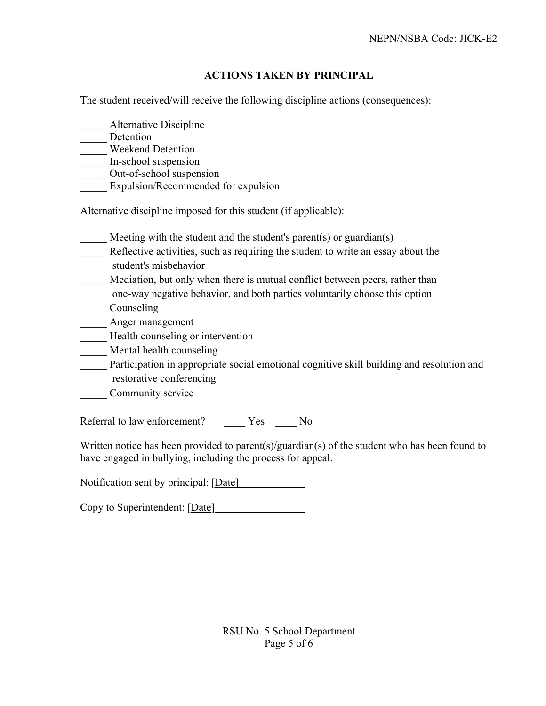## **ACTIONS TAKEN BY PRINCIPAL**

The student received/will receive the following discipline actions (consequences):

- Alternative Discipline
- Detention
- \_\_\_\_\_ Weekend Detention
- \_\_\_\_\_ In-school suspension
- \_\_\_\_\_ Out-of-school suspension
- Expulsion/Recommended for expulsion

Alternative discipline imposed for this student (if applicable):

- Meeting with the student and the student's parent(s) or guardian(s)
- Reflective activities, such as requiring the student to write an essay about the student's misbehavior
- Mediation, but only when there is mutual conflict between peers, rather than one-way negative behavior, and both parties voluntarily choose this option
- \_\_\_\_\_ Counseling
- \_\_\_\_\_ Anger management
- \_\_\_\_\_ Health counseling or intervention
- \_\_\_\_\_ Mental health counseling
- Participation in appropriate social emotional cognitive skill building and resolution and restorative conferencing
- Community service

Referral to law enforcement? \_\_\_\_\_ Yes \_\_\_\_\_ No

Written notice has been provided to parent(s)/guardian(s) of the student who has been found to have engaged in bullying, including the process for appeal.

Notification sent by principal: [Date]

Copy to Superintendent: [Date]

RSU No. 5 School Department Page 5 of 6